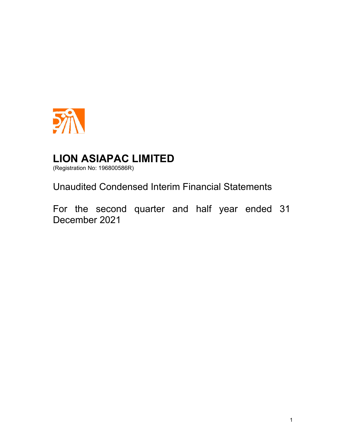

(Registration No: 196800586R)

Unaudited Condensed Interim Financial Statements

For the second quarter and half year ended 31 December 2021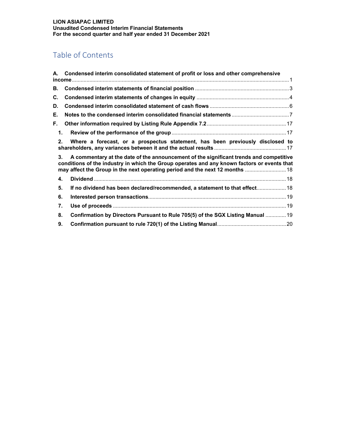# Table of Contents

|                | A. Condensed interim consolidated statement of profit or loss and other comprehensive                                                                                                                                                                                 |
|----------------|-----------------------------------------------------------------------------------------------------------------------------------------------------------------------------------------------------------------------------------------------------------------------|
| В.             |                                                                                                                                                                                                                                                                       |
| C.             |                                                                                                                                                                                                                                                                       |
| D.             |                                                                                                                                                                                                                                                                       |
| Е.             |                                                                                                                                                                                                                                                                       |
| F.             |                                                                                                                                                                                                                                                                       |
| $\mathbf 1$ .  |                                                                                                                                                                                                                                                                       |
| 2 <sub>1</sub> | Where a forecast, or a prospectus statement, has been previously disclosed to                                                                                                                                                                                         |
| 3.             | A commentary at the date of the announcement of the significant trends and competitive<br>conditions of the industry in which the Group operates and any known factors or events that<br>may affect the Group in the next operating period and the next 12 months  18 |
| 4.             |                                                                                                                                                                                                                                                                       |
| 5.             | If no dividend has been declared/recommended, a statement to that effect 18                                                                                                                                                                                           |
| 6.             |                                                                                                                                                                                                                                                                       |
| 7.             |                                                                                                                                                                                                                                                                       |
| 8.             | Confirmation by Directors Pursuant to Rule 705(5) of the SGX Listing Manual  19                                                                                                                                                                                       |
| 9.             |                                                                                                                                                                                                                                                                       |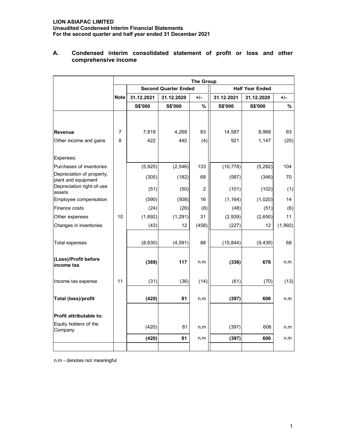## **LION ASIAPAC LIMITED Unaudited Condensed Interim Financial Statements For the second quarter and half year ended 31 December 2021**

|                                                  | <b>The Group</b> |            |                             |                |                |                        |         |
|--------------------------------------------------|------------------|------------|-----------------------------|----------------|----------------|------------------------|---------|
|                                                  |                  |            | <b>Second Quarter Ended</b> |                |                | <b>Half Year Ended</b> |         |
|                                                  | <b>Note</b>      | 31.12.2021 | 31.12.2020                  | $+/-$          | 31.12.2021     | 31.12.2020             | $+/-$   |
|                                                  |                  | S\$'000    | <b>S\$'000</b>              | %              | <b>S\$'000</b> | <b>S\$'000</b>         | %       |
|                                                  |                  |            |                             |                |                |                        |         |
| <b>Revenue</b>                                   | 7                | 7,819      | 4,268                       | 83             | 14,587         | 8,968                  | 63      |
| Other income and gains                           | 8                | 422        | 440                         | (4)            | 921            | 1,147                  | (20)    |
| Expenses:                                        |                  |            |                             |                |                |                        |         |
| Purchases of inventories                         |                  | (5,925)    | (2, 546)                    | 133            | (10, 778)      | (5, 282)               | 104     |
| Depreciation of property,<br>plant and equipment |                  | (305)      | (182)                       | 68             | (587)          | (346)                  | 70      |
| Depreciation right-of-use<br>assets              |                  | (51)       | (50)                        | $\overline{c}$ | (101)          | (102)                  | (1)     |
| Employee compensation                            |                  | (590)      | (508)                       | 16             | (1, 164)       | (1,020)                | 14      |
| Finance costs                                    |                  | (24)       | (26)                        | (8)            | (48)           | (51)                   | (6)     |
| Other expenses                                   | 10               | (1,692)    | (1, 291)                    | 31             | (2,939)        | (2,650)                | 11      |
| Changes in inventories                           |                  | (43)       | 12                          | (458)          | (227)          | 12                     | (1,992) |
| <b>Total expenses</b>                            |                  | (8,630)    | (4, 591)                    | 88             | (15, 844)      | (9, 439)               | 68      |
| (Loss)/Profit before<br>income tax               |                  | (389)      | 117                         | n.m            | (336)          | 676                    | n.m     |
| Income tax expense                               | 11               | (31)       | (36)                        | (14)           | (61)           | (70)                   | (13)    |
| <b>Total (loss)/profit</b>                       |                  | (420)      | 81                          | n.m            | (397)          | 606                    | n.m     |
| Profit attributable to:                          |                  |            |                             |                |                |                        |         |
| Equity holders of the<br>Company                 |                  | (420)      | 81                          | n.m            | (397)          | 606                    | n.m     |
|                                                  |                  | (420)      | 81                          | n.m            | (397)          | 606                    | n.m     |
|                                                  |                  |            |                             |                |                |                        |         |

## **A. Condensed interim consolidated statement of profit or loss and other comprehensive income**

n.m - denotes not meaningful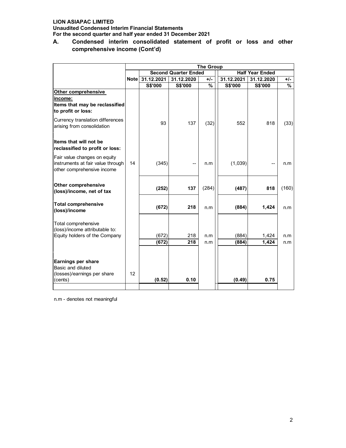**Unaudited Condensed Interim Financial Statements For the second quarter and half year ended 31 December 2021**

**A. Condensed interim consolidated statement of profit or loss and other comprehensive income (Cont'd)** 

|                                         |                 | <b>The Group</b> |                             |       |                        |            |       |
|-----------------------------------------|-----------------|------------------|-----------------------------|-------|------------------------|------------|-------|
|                                         |                 |                  | <b>Second Quarter Ended</b> |       | <b>Half Year Ended</b> |            |       |
|                                         | <b>Note</b>     | 31.12.2021       | 31.12.2020                  | $+/-$ | 31.12.2021             | 31.12.2020 | +/-   |
|                                         |                 | <b>S\$'000</b>   | S\$'000                     | %     | <b>S\$'000</b>         | S\$'000    | %     |
| Other comprehensive                     |                 |                  |                             |       |                        |            |       |
| income:                                 |                 |                  |                             |       |                        |            |       |
| Items that may be reclassified          |                 |                  |                             |       |                        |            |       |
| to profit or loss:                      |                 |                  |                             |       |                        |            |       |
| Currency translation differences        |                 |                  |                             |       |                        |            |       |
| arising from consolidation              |                 | 93               | 137                         | (32)  | 552                    | 818        | (33)  |
|                                         |                 |                  |                             |       |                        |            |       |
| Items that will not be                  |                 |                  |                             |       |                        |            |       |
| reclassified to profit or loss:         |                 |                  |                             |       |                        |            |       |
|                                         |                 |                  |                             |       |                        |            |       |
| Fair value changes on equity            |                 |                  |                             |       |                        |            |       |
| instruments at fair value through       | 14              | (345)            |                             | n.m   | (1,039)                |            | n.m   |
| other comprehensive income              |                 |                  |                             |       |                        |            |       |
|                                         |                 |                  |                             |       |                        |            |       |
| <b>Other comprehensive</b>              |                 |                  |                             | (284) |                        |            |       |
| (loss)/income, net of tax               |                 | (252)            | 137                         |       | (487)                  | 818        | (160) |
|                                         |                 |                  |                             |       |                        |            |       |
| <b>Total comprehensive</b>              |                 | (672)            | 218                         | n.m   | (884)                  | 1,424      | n.m   |
| (loss)/income                           |                 |                  |                             |       |                        |            |       |
|                                         |                 |                  |                             |       |                        |            |       |
| Total comprehensive                     |                 |                  |                             |       |                        |            |       |
| (loss)/income attributable to:          |                 |                  |                             |       |                        |            |       |
| Equity holders of the Company           |                 | (672)            | 218                         | n.m   | (884)                  | 1,424      | n.m   |
|                                         |                 | (672)            | 218                         | n.m   | (884)                  | 1,424      | n.m   |
|                                         |                 |                  |                             |       |                        |            |       |
|                                         |                 |                  |                             |       |                        |            |       |
| Earnings per share<br>Basic and diluted |                 |                  |                             |       |                        |            |       |
| (losses)/earnings per share             | 12 <sup>2</sup> |                  |                             |       |                        |            |       |
| (cents)                                 |                 | (0.52)           | 0.10                        |       | (0.49)                 | 0.75       |       |
|                                         |                 |                  |                             |       |                        |            |       |

n.m - denotes not meaningful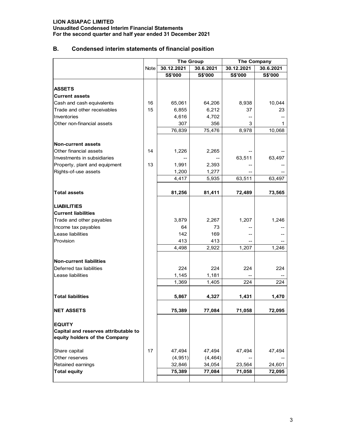**Unaudited Condensed Interim Financial Statements For the second quarter and half year ended 31 December 2021**

# **B. Condensed interim statements of financial position**

|                                                                       |      | <b>The Group</b> |           | The Company |           |  |
|-----------------------------------------------------------------------|------|------------------|-----------|-------------|-----------|--|
|                                                                       | Note | 30.12.2021       | 30.6.2021 | 30.12.2021  | 30.6.2021 |  |
|                                                                       |      | S\$'000          | S\$'000   | S\$'000     | S\$'000   |  |
|                                                                       |      |                  |           |             |           |  |
| <b>ASSETS</b>                                                         |      |                  |           |             |           |  |
| <b>Current assets</b>                                                 |      |                  |           |             |           |  |
| Cash and cash equivalents                                             | 16   | 65,061           | 64,206    | 8,938       | 10,044    |  |
| Trade and other receivables                                           | 15   | 6,855            | 6,212     | 37          | 23        |  |
| Inventories                                                           |      | 4,616            | 4,702     |             |           |  |
| Other non-financial assets                                            |      | 307              | 356       | 3           | 1         |  |
|                                                                       |      | 76,839           | 75,476    | 8,978       | 10,068    |  |
| <b>Non-current assets</b>                                             |      |                  |           |             |           |  |
| Other financial assets                                                | 14   | 1,226            | 2,265     |             |           |  |
| Investments in subsidiaries                                           |      |                  |           | 63,511      | 63,497    |  |
| Property, plant and equipment                                         | 13   | 1,991            | 2,393     |             |           |  |
| Rights-of-use assets                                                  |      | 1,200            | 1,277     |             |           |  |
|                                                                       |      | 4,417            | 5,935     | 63,511      | 63,497    |  |
|                                                                       |      |                  |           |             |           |  |
| <b>Total assets</b>                                                   |      | 81,256           | 81,411    | 72,489      | 73,565    |  |
| <b>LIABILITIES</b>                                                    |      |                  |           |             |           |  |
| <b>Current liabilities</b>                                            |      |                  |           |             |           |  |
| Trade and other payables                                              |      | 3,879            | 2,267     | 1,207       | 1,246     |  |
| Income tax payables                                                   |      | 64               | 73        |             |           |  |
| Lease liabilities                                                     |      | 142              | 169       |             |           |  |
| Provision                                                             |      | 413              | 413       |             |           |  |
|                                                                       |      | 4,498            | 2,922     | 1,207       | 1,246     |  |
| <b>Non-current liabilities</b>                                        |      |                  |           |             |           |  |
| Deferred tax liabilities                                              |      | 224              | 224       | 224         | 224       |  |
| Lease liabilities                                                     |      | 1,145            | 1,181     |             |           |  |
|                                                                       |      | 1,369            | 1,405     | 224         | 224       |  |
|                                                                       |      |                  |           |             |           |  |
| <b>Total liabilities</b>                                              |      | 5,867            | 4,327     | 1,431       | 1,470     |  |
| <b>NET ASSETS</b>                                                     |      | 75,389           | 77,084    | 71,058      | 72,095    |  |
| <b>EQUITY</b>                                                         |      |                  |           |             |           |  |
| Capital and reserves attributable to<br>equity holders of the Company |      |                  |           |             |           |  |
| Share capital                                                         | 17   | 47,494           | 47,494    | 47,494      | 47,494    |  |
| Other reserves                                                        |      | (4,951)          | (4, 464)  |             |           |  |
| Retained earnings                                                     |      | 32,846           | 34,054    | 23,564      | 24,601    |  |
| <b>Total equity</b>                                                   |      | 75,389           | 77,084    | 71,058      | 72,095    |  |
|                                                                       |      |                  |           |             |           |  |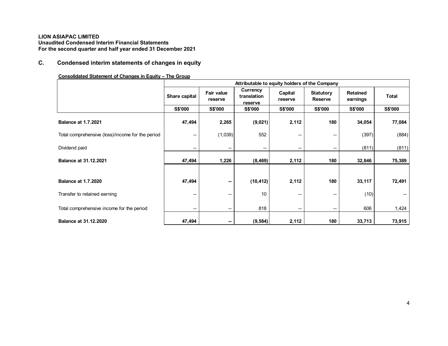# **C. Condensed interim statements of changes in equity**

## **Consolidated Statement of Changes in Equity – The Group**

|                                                  |                          |                              | Attributable to equity holders of the Company |                          |                                    |                             |                |
|--------------------------------------------------|--------------------------|------------------------------|-----------------------------------------------|--------------------------|------------------------------------|-----------------------------|----------------|
|                                                  | <b>Share capital</b>     | <b>Fair value</b><br>reserve | Currency<br>translation<br>reserve            | Capital<br>reserve       | <b>Statutory</b><br><b>Reserve</b> | <b>Retained</b><br>earnings | <b>Total</b>   |
|                                                  | <b>S\$'000</b>           | <b>S\$'000</b>               | <b>S\$'000</b>                                | <b>S\$'000</b>           | <b>S\$'000</b>                     | <b>S\$'000</b>              | <b>S\$'000</b> |
| <b>Balance at 1.7.2021</b>                       | 47,494                   | 2,265                        | (9,021)                                       | 2,112                    | 180                                | 34,054                      | 77,084         |
| Total comprehensive (loss)/income for the period | --                       | (1,039)                      | 552                                           | $\overline{\phantom{a}}$ | --                                 | (397)                       | (884)          |
| Dividend paid                                    | $\overline{\phantom{a}}$ | --                           | --                                            | --                       | --                                 | (811)                       | (811)          |
| <b>Balance at 31.12.2021</b>                     | 47,494                   | 1,226                        | (8,469)                                       | 2,112                    | 180                                | 32,846                      | 75,389         |
|                                                  |                          |                              |                                               |                          |                                    |                             |                |
| <b>Balance at 1.7.2020</b>                       | 47,494                   | $\sim$                       | (10, 412)                                     | 2,112                    | 180                                | 33,117                      | 72,491         |
| Transfer to retained earning                     | --                       | --                           | 10                                            | --                       | --                                 | (10)                        | --             |
| Total comprehensive income for the period        | --                       | --                           | 818                                           | $\overline{\phantom{a}}$ | $\overline{\phantom{a}}$           | 606                         | 1,424          |
| <b>Balance at 31.12.2020</b>                     | 47,494                   | --                           | (9, 584)                                      | 2,112                    | 180                                | 33,713                      | 73,915         |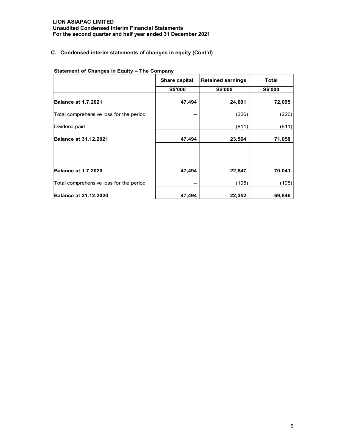## **LION ASIAPAC LIMITED Unaudited Condensed Interim Financial Statements For the second quarter and half year ended 31 December 2021**

## **C. Condensed interim statements of changes in equity (Cont'd)**

|                                         | Share capital  | <b>Retained earnings</b> | <b>Total</b>   |
|-----------------------------------------|----------------|--------------------------|----------------|
|                                         | <b>S\$'000</b> | <b>S\$'000</b>           | <b>S\$'000</b> |
| <b>Balance at 1.7.2021</b>              | 47,494         | 24,601                   | 72,095         |
| Total comprehensive loss for the period | --             | (226)                    | (226)          |
| Dividend paid                           | --             | (811)                    | (811)          |
| <b>Balance at 31.12.2021</b>            | 47,494         | 23,564                   | 71,058         |
|                                         |                |                          |                |
| <b>Balance at 1.7.2020</b>              | 47,494         | 22,547                   | 70,041         |
| Total comprehensive loss for the period | --             | (195)                    | (195)          |
| <b>Balance at 31.12.2020</b>            | 47,494         | 22,352                   | 69,846         |

**Statement of Changes in Equity – The Company**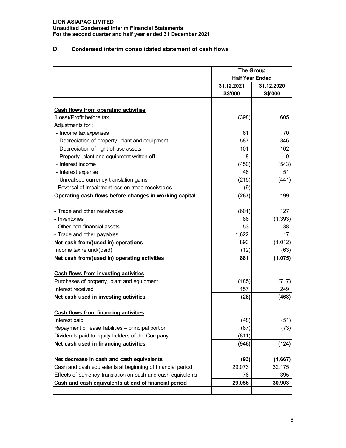**Unaudited Condensed Interim Financial Statements For the second quarter and half year ended 31 December 2021**

## **D. Condensed interim consolidated statement of cash flows**

|                                                              |                        | <b>The Group</b> |  |
|--------------------------------------------------------------|------------------------|------------------|--|
|                                                              | <b>Half Year Ended</b> |                  |  |
|                                                              | 31.12.2021             | 31.12.2020       |  |
|                                                              | S\$'000                | S\$'000          |  |
|                                                              |                        |                  |  |
| <b>Cash flows from operating activities</b>                  |                        |                  |  |
| (Loss)/Profit before tax                                     | (398)                  | 605              |  |
| Adjustments for:                                             |                        |                  |  |
| - Income tax expenses                                        | 61                     | 70               |  |
| - Depreciation of property, plant and equipment              | 587                    | 346              |  |
| - Depreciation of right-of-use assets                        | 101                    | 102              |  |
| - Property, plant and equipment written off                  | 8                      | 9                |  |
| - Interest income                                            | (450)                  | (543)            |  |
| - Interest expense                                           | 48                     | 51               |  |
| - Unrealised currency translation gains                      | (215)                  | (441)            |  |
| - Reversal of impairment loss on trade receivebles           | (9)                    |                  |  |
| Operating cash flows before changes in working capital       | (267)                  | 199              |  |
| - Trade and other receivables                                | (601)                  | 127              |  |
| - Inventories                                                | 86                     | (1, 393)         |  |
| - Other non-financial assets                                 | 53                     | 38               |  |
| - Trade and other payables                                   | 1,622                  | 17               |  |
| Net cash from/(used in) operations                           | 893                    | (1,012)          |  |
| Income tax refund/(paid)                                     | (12)                   | (63)             |  |
| Net cash from/(used in) operating activities                 | 881                    | (1,075)          |  |
|                                                              |                        |                  |  |
| <b>Cash flows from investing activities</b>                  |                        |                  |  |
| Purchases of property, plant and equipment                   | (185)                  | (717)            |  |
| Interest received                                            | 157                    | 249              |  |
| Net cash used in investing activities                        | (28)                   | (468)            |  |
| <b>Cash flows from financing activities</b>                  |                        |                  |  |
| Interest paid                                                | (48)                   | (51)             |  |
| Repayment of lease liabilities - principal portion           | (87)                   | (73)             |  |
| Dividends paid to equity holders of the Company              | (811)                  |                  |  |
| Net cash used in financing activities                        | (946)                  | (124)            |  |
| Net decrease in cash and cash equivalents                    | (93)                   | (1,667)          |  |
| Cash and cash equivalents at beginning of financial period   | 29,073                 | 32,175           |  |
| Effects of currency translation on cash and cash equivalents | 76                     | 395              |  |
| Cash and cash equivalents at end of financial period         | 29,056                 | 30,903           |  |
|                                                              |                        |                  |  |
|                                                              |                        |                  |  |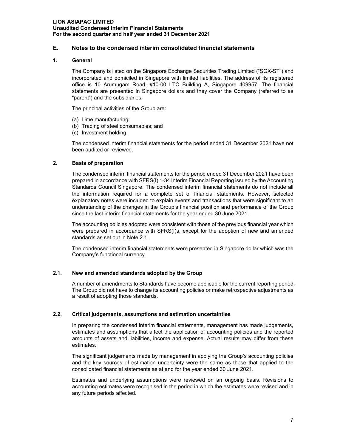## **E. Notes to the condensed interim consolidated financial statements**

## **1. General**

The Company is listed on the Singapore Exchange Securities Trading Limited ("SGX-ST") and incorporated and domiciled in Singapore with limited liabilities. The address of its registered office is 10 Arumugam Road, #10-00 LTC Building A, Singapore 409957. The financial statements are presented in Singapore dollars and they cover the Company (referred to as "parent") and the subsidiaries.

The principal activities of the Group are:

- (a) Lime manufacturing;
- (b) Trading of steel consumables; and
- (c) Investment holding.

The condensed interim financial statements for the period ended 31 December 2021 have not been audited or reviewed.

## **2. Basis of preparation**

The condensed interim financial statements for the period ended 31 December 2021 have been prepared in accordance with SFRS(I) 1-34 Interim Financial Reporting issued by the Accounting Standards Council Singapore. The condensed interim financial statements do not include all the information required for a complete set of financial statements. However, selected explanatory notes were included to explain events and transactions that were significant to an understanding of the changes in the Group's financial position and performance of the Group since the last interim financial statements for the year ended 30 June 2021.

The accounting policies adopted were consistent with those of the previous financial year which were prepared in accordance with SFRS(I)s, except for the adoption of new and amended standards as set out in Note 2.1.

The condensed interim financial statements were presented in Singapore dollar which was the Company's functional currency.

#### **2.1. New and amended standards adopted by the Group**

A number of amendments to Standards have become applicable for the current reporting period. The Group did not have to change its accounting policies or make retrospective adjustments as a result of adopting those standards.

#### **2.2. Critical judgements, assumptions and estimation uncertainties**

In preparing the condensed interim financial statements, management has made judgements, estimates and assumptions that affect the application of accounting policies and the reported amounts of assets and liabilities, income and expense. Actual results may differ from these estimates.

The significant judgements made by management in applying the Group's accounting policies and the key sources of estimation uncertainty were the same as those that applied to the consolidated financial statements as at and for the year ended 30 June 2021.

Estimates and underlying assumptions were reviewed on an ongoing basis. Revisions to accounting estimates were recognised in the period in which the estimates were revised and in any future periods affected.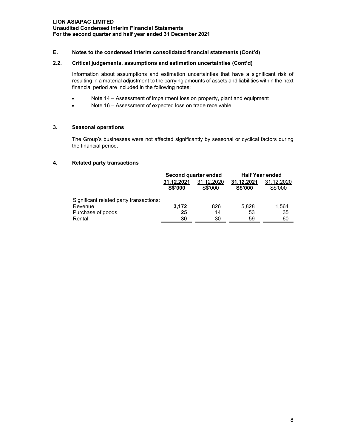## **E. Notes to the condensed interim consolidated financial statements (Cont'd)**

### **2.2. Critical judgements, assumptions and estimation uncertainties (Cont'd)**

Information about assumptions and estimation uncertainties that have a significant risk of resulting in a material adjustment to the carrying amounts of assets and liabilities within the next financial period are included in the following notes:

- Note 14 Assessment of impairment loss on property, plant and equipment
- Note 16 Assessment of expected loss on trade receivable

#### **3. Seasonal operations**

The Group's businesses were not affected significantly by seasonal or cyclical factors during the financial period.

#### **4. Related party transactions**

|                                         |                              | Second quarter ended  | <b>Half Year ended</b>       |                       |  |
|-----------------------------------------|------------------------------|-----------------------|------------------------------|-----------------------|--|
|                                         | 31.12.2021<br><b>S\$'000</b> | 31.12.2020<br>S\$'000 | 31.12.2021<br><b>S\$'000</b> | 31.12.2020<br>S\$'000 |  |
| Significant related party transactions: |                              |                       |                              |                       |  |
| Revenue                                 | 3.172                        | 826                   | 5.828                        | 1.564                 |  |
| Purchase of goods                       | 25                           | 14                    | 53                           | 35                    |  |
| Rental                                  | 30                           | 30                    | 59                           | 60                    |  |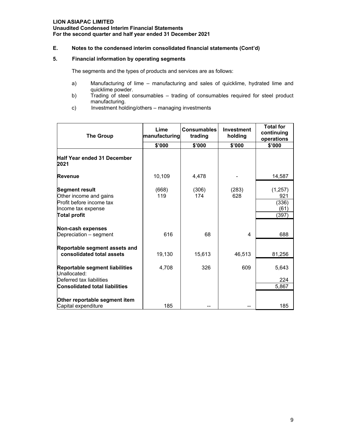## **E. Notes to the condensed interim consolidated financial statements (Cont'd)**

## **5. Financial information by operating segments**

The segments and the types of products and services are as follows:

- a) Manufacturing of lime manufacturing and sales of quicklime, hydrated lime and quicklime powder.
- b) Trading of steel consumables trading of consumables required for steel product manufacturing.
- c) Investment holding/others managing investments

| <b>The Group</b>                                                                                                         | Lime<br>manufacturing | <b>Consumables</b><br>trading | Investment<br>holding | <b>Total for</b><br>continuing<br>operations |
|--------------------------------------------------------------------------------------------------------------------------|-----------------------|-------------------------------|-----------------------|----------------------------------------------|
|                                                                                                                          | \$'000                | \$'000                        | \$'000                | \$'000                                       |
| <b>Half Year ended 31 December</b><br>2021                                                                               |                       |                               |                       |                                              |
| Revenue                                                                                                                  | 10,109                | 4,478                         |                       | 14,587                                       |
| <b>Segment result</b><br>Other income and gains<br>Profit before income tax<br>Income tax expense<br><b>Total profit</b> | (668)<br>119          | (306)<br>174                  | (283)<br>628          | (1,257)<br>921<br>(336)<br>(61)<br>(397)     |
| Non-cash expenses<br>Depreciation - segment                                                                              | 616                   | 68                            | 4                     | 688                                          |
| Reportable segment assets and<br>consolidated total assets                                                               | 19,130                | 15,613                        | 46,513                | 81,256                                       |
| Reportable segment liabilities<br>Unallocated:<br>Deferred tax liabilities                                               | 4,708                 | 326                           | 609                   | 5,643<br>224                                 |
| <b>Consolidated total liabilities</b>                                                                                    |                       |                               |                       | 5.867                                        |
| Other reportable segment item<br>Capital expenditure                                                                     | 185                   |                               |                       | 185                                          |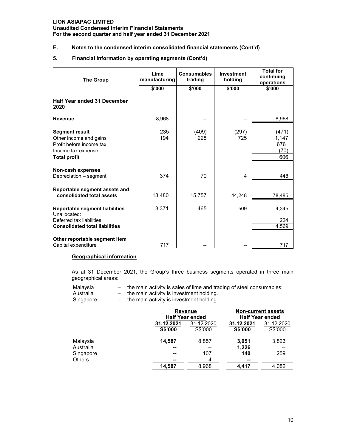**Unaudited Condensed Interim Financial Statements For the second quarter and half year ended 31 December 2021**

## **E. Notes to the condensed interim consolidated financial statements (Cont'd)**

#### **5. Financial information by operating segments (Cont'd)**

| <b>The Group</b>                                                                                                         | Lime<br>manufacturing | <b>Consumables</b><br>trading | Investment<br>holding | <b>Total for</b><br>continuing<br>operations |
|--------------------------------------------------------------------------------------------------------------------------|-----------------------|-------------------------------|-----------------------|----------------------------------------------|
|                                                                                                                          | \$'000                | \$'000                        | \$'000                | \$'000                                       |
| <b>Half Year ended 31 December</b><br>2020                                                                               |                       |                               |                       |                                              |
| <b>Revenue</b>                                                                                                           | 8,968                 |                               |                       | 8,968                                        |
| <b>Segment result</b><br>Other income and gains<br>Profit before income tax<br>Income tax expense<br><b>Total profit</b> | 235<br>194            | (409)<br>228                  | (297)<br>725          | (471)<br>1,147<br>676<br>(70)<br>606         |
| Non-cash expenses<br>Depreciation - segment                                                                              | 374                   | 70                            | 4                     | 448                                          |
|                                                                                                                          |                       |                               |                       |                                              |
| Reportable segment assets and<br>consolidated total assets                                                               | 18,480                | 15,757                        | 44,248                | 78,485                                       |
| Reportable segment liabilities<br>Unallocated:                                                                           | 3,371                 | 465                           | 509                   | 4,345                                        |
| Deferred tax liabilities                                                                                                 |                       |                               |                       | 224                                          |
| <b>Consolidated total liabilities</b>                                                                                    |                       |                               |                       | 4,569                                        |
| Other reportable segment item<br>Capital expenditure                                                                     | 717                   |                               |                       | 717                                          |

#### **Geographical information**

As at 31 December 2021, the Group's three business segments operated in three main geographical areas:

| Malavsia |  |  | the main activity is sales of lime and trading of steel consumables; |  |  |
|----------|--|--|----------------------------------------------------------------------|--|--|
|----------|--|--|----------------------------------------------------------------------|--|--|

- Australia  $-$  the main activity is investment holding.
- Singapore the main activity is investment holding.

|               |                | <b>Revenue</b><br><b>Half Year ended</b> |            | <b>Non-current assets</b><br><b>Half Year ended</b> |  |
|---------------|----------------|------------------------------------------|------------|-----------------------------------------------------|--|
|               | 31.12.2021     | 31.12.2020                               | 31.12.2021 | 31.12.2020                                          |  |
|               | <b>S\$'000</b> | S\$'000                                  | S\$'000    | S\$'000                                             |  |
| Malaysia      | 14,587         | 8,857                                    | 3,051      | 3,823                                               |  |
| Australia     | --             | --                                       | 1,226      |                                                     |  |
| Singapore     | --             | 107                                      | 140        | 259                                                 |  |
| <b>Others</b> | --             | 4                                        | --         | --                                                  |  |
|               | 14,587         | 8,968                                    | 4.417      | 4,082                                               |  |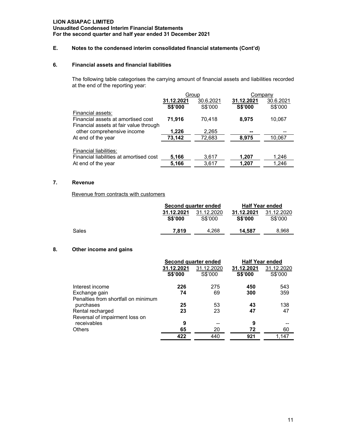#### **Unaudited Condensed Interim Financial Statements For the second quarter and half year ended 31 December 2021**

## **E. Notes to the condensed interim consolidated financial statements (Cont'd)**

## **6. Financial assets and financial liabilities**

The following table categorises the carrying amount of financial assets and liabilities recorded at the end of the reporting year:

|                                                                                                   | Group          |           | Company        |           |
|---------------------------------------------------------------------------------------------------|----------------|-----------|----------------|-----------|
|                                                                                                   | 31.12.2021     | 30.6.2021 | 31.12.2021     | 30.6.2021 |
|                                                                                                   | <b>S\$'000</b> | S\$'000   | <b>S\$'000</b> | S\$'000   |
| Financial assets:<br>Financial assets at amortised cost<br>Financial assets at fair value through | 71,916         | 70,418    | 8,975          | 10,067    |
| other comprehensive income                                                                        | 1,226          | 2,265     | --             |           |
| At end of the year                                                                                | 73,142         | 72,683    | 8.975          | 10,067    |
| Financial liabilities:<br>Financial liabilities at amortised cost                                 | 5,166          | 3,617     | 1,207          | 1,246     |
| At end of the year                                                                                | 5,166          | 3,617     | 1,207          | 1,246     |

## **7. Revenue**

Revenue from contracts with customers

|       | Second quarter ended         |                       | <b>Half Year ended</b>       |                       |
|-------|------------------------------|-----------------------|------------------------------|-----------------------|
|       | 31.12.2021<br><b>S\$'000</b> | 31.12.2020<br>S\$'000 | 31.12.2021<br><b>S\$'000</b> | 31.12.2020<br>S\$'000 |
| Sales | 7.819                        | 4.268                 | 14.587                       | 8,968                 |

## **8. Other income and gains**

|                                     | Second quarter ended |            |            | <b>Half Year ended</b> |
|-------------------------------------|----------------------|------------|------------|------------------------|
|                                     | 31.12.2021           | 31.12.2020 | 31.12.2021 | 31.12.2020             |
|                                     | S\$'000              | S\$'000    | S\$'000    | S\$'000                |
| Interest income                     | 226                  | 275        | 450        | 543                    |
| Exchange gain                       | 74                   | 69         | 300        | 359                    |
| Penalties from shortfall on minimum |                      |            |            |                        |
| purchases                           | 25                   | 53         | 43         | 138                    |
| Rental recharged                    | 23                   | 23         | 47         | 47                     |
| Reversal of impairment loss on      |                      |            |            |                        |
| receivables                         | 9                    |            | 9          |                        |
| <b>Others</b>                       | 65                   | 20         | 72         | 60                     |
|                                     | 422                  | 440        | 921        | 1.147                  |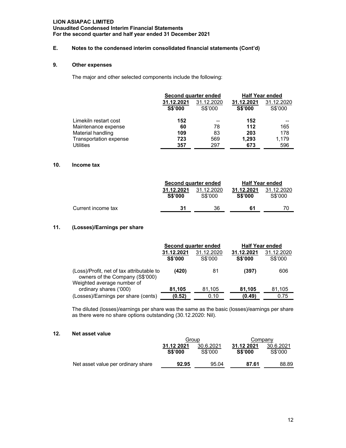## **Unaudited Condensed Interim Financial Statements For the second quarter and half year ended 31 December 2021**

## **E. Notes to the condensed interim consolidated financial statements (Cont'd)**

## **9. Other expenses**

The major and other selected components include the following:

|                        | <b>Second quarter ended</b>  |                       |                              | <b>Half Year ended</b> |
|------------------------|------------------------------|-----------------------|------------------------------|------------------------|
|                        | 31.12.2021<br><b>S\$'000</b> | 31.12.2020<br>S\$'000 | 31.12.2021<br><b>S\$'000</b> | 31.12.2020<br>S\$'000  |
| Limekiln restart cost  | 152                          |                       | 152                          | --                     |
| Maintenance expense    | 60                           | 78                    | 112                          | 165                    |
| Material handling      | 109                          | 83                    | 203                          | 178                    |
| Transportation expense | 723                          | 569                   | 1.293                        | 1,179                  |
| <b>Utilities</b>       | 357                          | 297                   | 673                          | 596                    |

#### **10. Income tax**

|                    |                              | Second quarter ended  |                              | <b>Half Year ended</b> |
|--------------------|------------------------------|-----------------------|------------------------------|------------------------|
|                    | 31.12.2021<br><b>S\$'000</b> | 31.12.2020<br>S\$'000 | 31.12.2021<br><b>S\$'000</b> | 31.12.2020<br>S\$'000  |
| Current income tax | 31                           | 36                    | 61                           |                        |

## **11. (Losses)/Earnings per share**

|                                                                                                            | Second quarter ended         |                       | <b>Half Year ended</b>       |                       |
|------------------------------------------------------------------------------------------------------------|------------------------------|-----------------------|------------------------------|-----------------------|
|                                                                                                            | 31.12.2021<br><b>S\$'000</b> | 31.12.2020<br>S\$'000 | 31.12.2021<br><b>S\$'000</b> | 31.12.2020<br>S\$'000 |
| (Loss)/Profit, net of tax attributable to<br>owners of the Company (S\$'000)<br>Weighted average number of | (420)                        | 81                    | (397)                        | 606                   |
| ordinary shares ('000)                                                                                     | 81,105                       | 81,105                | 81,105                       | 81,105                |
| (Losses)/Earnings per share (cents)                                                                        | (0.52)                       | 0.10                  | (0.49)                       | 0.75                  |

The diluted (losses)/earnings per share was the same as the basic (losses)/earnings per share as there were no share options outstanding (30.12.2020: Nil).

#### **12. Net asset value**

|                                    | Group                        |                      | Companv                      |                      |
|------------------------------------|------------------------------|----------------------|------------------------------|----------------------|
|                                    | 31.12 2021<br><b>S\$'000</b> | 30.6.2021<br>S\$'000 | 31.12 2021<br><b>S\$'000</b> | 30.6.2021<br>S\$'000 |
| Net asset value per ordinary share | 92.95                        | 95.04                | 87.61                        | 88.89                |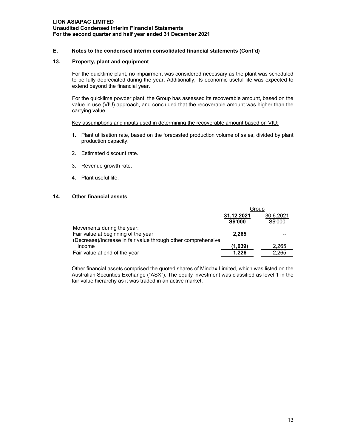## **E. Notes to the condensed interim consolidated financial statements (Cont'd)**

#### **13. Property, plant and equipment**

For the quicklime plant, no impairment was considered necessary as the plant was scheduled to be fully depreciated during the year. Additionally, its economic useful life was expected to extend beyond the financial year.

For the quicklime powder plant, the Group has assessed its recoverable amount, based on the value in use (VIU) approach, and concluded that the recoverable amount was higher than the carrying value.

#### Key assumptions and inputs used in determining the recoverable amount based on VIU:

- 1. Plant utilisation rate, based on the forecasted production volume of sales, divided by plant production capacity.
- 2. Estimated discount rate.
- 3. Revenue growth rate.
- 4. Plant useful life.

## **14. Other financial assets**

|                                                               | Group          |           |
|---------------------------------------------------------------|----------------|-----------|
|                                                               | 31.12 2021     | 30.6.2021 |
|                                                               | <b>S\$'000</b> | S\$'000   |
| Movements during the year:                                    |                |           |
| Fair value at beginning of the year                           | 2.265          |           |
| (Decrease)/Increase in fair value through other comprehensive |                |           |
| income                                                        | (1.039)        | 2.265     |
| Fair value at end of the year                                 | 1.226          | 2.265     |

Other financial assets comprised the quoted shares of Mindax Limited, which was listed on the Australian Securities Exchange ("ASX"). The equity investment was classified as level 1 in the fair value hierarchy as it was traded in an active market.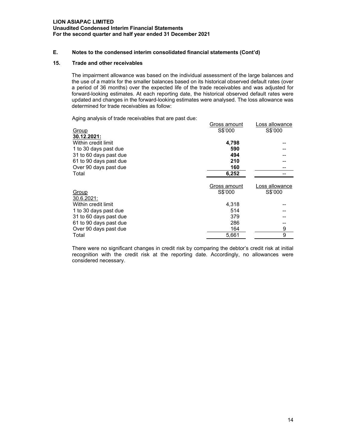### **LION ASIAPAC LIMITED Unaudited Condensed Interim Financial Statements For the second quarter and half year ended 31 December 2021**

### **E. Notes to the condensed interim consolidated financial statements (Cont'd)**

#### **15. Trade and other receivables**

The impairment allowance was based on the individual assessment of the large balances and the use of a matrix for the smaller balances based on its historical observed default rates (over a period of 36 months) over the expected life of the trade receivables and was adjusted for forward-looking estimates. At each reporting date, the historical observed default rates were updated and changes in the forward-looking estimates were analysed. The loss allowance was determined for trade receivables as follow:

Aging analysis of trade receivables that are past due:

|                        | Gross amount | Loss allowance |
|------------------------|--------------|----------------|
| Group                  | S\$'000      | S\$'000        |
| 30.12.2021:            |              |                |
| Within credit limit    | 4,798        |                |
| 1 to 30 days past due  | 590          |                |
| 31 to 60 days past due | 494          |                |
| 61 to 90 days past due | 210          |                |
| Over 90 days past due  | 160          |                |
| Total                  | 6,252        |                |
|                        | Gross amount | Loss allowance |
| Group                  | S\$'000      | S\$'000        |
| 30.6.2021:             |              |                |
| Within credit limit    | 4,318        |                |
| 1 to 30 days past due  | 514          |                |
| 31 to 60 days past due | 379          |                |
| 61 to 90 days past due | 286          |                |
| Over 90 days past due  | 164          | 9              |
| Total                  | 5,661        | 9              |

There were no significant changes in credit risk by comparing the debtor's credit risk at initial recognition with the credit risk at the reporting date. Accordingly, no allowances were considered necessary.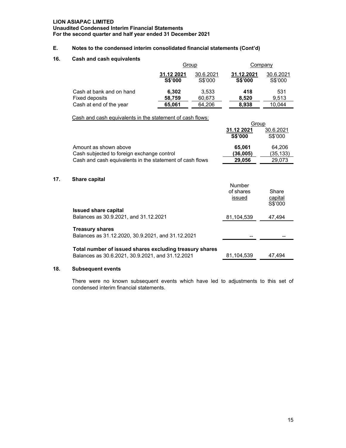**Unaudited Condensed Interim Financial Statements For the second quarter and half year ended 31 December 2021**

## **E. Notes to the condensed interim consolidated financial statements (Cont'd)**

#### **16. Cash and cash equivalents**

|                          | Group                        |                      | Company                      |                      |
|--------------------------|------------------------------|----------------------|------------------------------|----------------------|
|                          | 31.12 2021<br><b>S\$'000</b> | 30.6.2021<br>S\$'000 | 31.12.2021<br><b>S\$'000</b> | 30.6.2021<br>S\$'000 |
| Cash at bank and on hand | 6.302                        | 3,533                | 418                          | 531                  |
| Fixed deposits           | 58,759                       | 60,673               | 8.520                        | 9.513                |
| Cash at end of the year  | 65,061                       | 64,206               | 8.938                        | 10.044               |

Group

Cash and cash equivalents in the statement of cash flows:

|                                                                             | uup                           |                      |
|-----------------------------------------------------------------------------|-------------------------------|----------------------|
|                                                                             | 31.12 2021<br>S\$'000         | 30.6.2021<br>S\$'000 |
| Amount as shown above<br>Cash subjected to foreign exchange control         | 65,061<br>(36,005)            | 64,206<br>(35,133)   |
| Cash and cash equivalents in the statement of cash flows                    | 29,056                        | 29,073               |
| <b>Share capital</b>                                                        | Number<br>of shares<br>issued | Share<br>capital     |
| <b>Issued share capital</b>                                                 |                               | S\$'000              |
| Balances as 30.9.2021, and 31.12.2021                                       | 81.104.539                    | 47.494               |
| <b>Treasury shares</b><br>Balances as 31.12.2020, 30.9.2021, and 31.12.2021 |                               |                      |
|                                                                             |                               |                      |

**Total number of issued shares excluding treasury shares** Balances as 30.6.2021, 30.9.2021, and 31.12.2021 81,104,539 47,494

## **18. Subsequent events**

**17.** 

There were no known subsequent events which have led to adjustments to this set of condensed interim financial statements.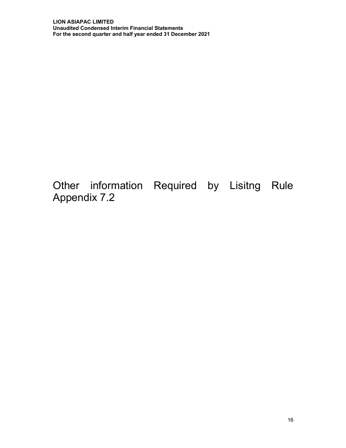Other information Required by Lisitng Rule Appendix 7.2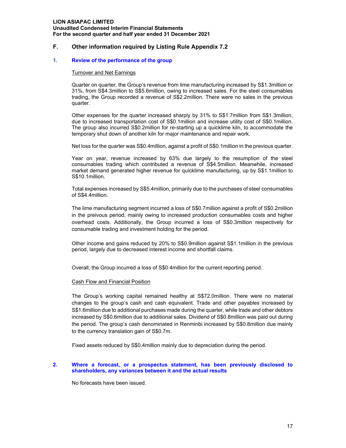## **LION ASIAPAC LIMITED Unaudited Condensed Interim Financial Statements For the second quarter and half year ended 31 December 2021**

## **F. Other information required by Listing Rule Appendix 7.2**

### **1. Review of the performance of the group**

#### Turnover and Net Earnings

Quarter on quarter, the Group's revenue from lime manufacturing increased by S\$1.3million or 31%, from S\$4.3million to S\$5.6million, owing to increased sales. For the steel consumables trading, the Group recorded a revenue of S\$2.2million. There were no sales in the previous quarter.

Other expenses for the quarter increased sharply by 31% to S\$1.7million from S\$1.3million, due to increased transportation cost of S\$0.1million and increase utility cost of S\$0.1million. The group also incurred S\$0.2million for re-starting up a quicklime kiln, to accommodate the temporary shut down of another kiln for major maintenance and repair work.

Net loss for the quarter was S\$0.4million, against a profit of S\$0.1million in the previous quarter.

Year on year, revenue increased by 63% due largely to the resumption of the steel consumables trading which contributed a revenue of S\$4.5million. Meanwhile, increased market demand generated higher revenue for quicklime manufacturing, up by S\$1.1million to S\$10.1million.

Total expenses increased by S\$5.4million, primarily due to the purchases of steel consumables of S\$4.4million.

The lime manufacturing segment incurred a loss of S\$0.7million against a profit of S\$0.2million in the preivous period, mainly owing to increased production consumables costs and higher overhead costs. Additionally, the Group incurred a loss of S\$0.3million respectively for consumable trading and investment holding for the period.

Other income and gains reduced by 20% to S\$0.9million against S\$1.1million in the previous period, largely due to decreased interest income and shortfall claims.

Overall, the Group incurred a loss of S\$0.4million for the current reporting period.

#### Cash Flow and Financial Position

The Group's working capital remained healthy at S\$72.0million. There were no material changes to the group's cash and cash equivalent. Trade and other payables increased by S\$1.6million due to additional purchases made during the quarter, while trade and other debtors increased by S\$0.6million due to additional sales. Dividend of S\$0.8million was paid out during the period. The group's cash denominated in Renminbi increased by S\$0.8million due mainly to the currency translation gain of S\$0.7m.

Fixed assets reduced by S\$0.4million mainly due to depreciation during the period.

#### **2. Where a forecast, or a prospectus statement, has been previously disclosed to shareholders, any variances between it and the actual results**

No forecasts have been issued.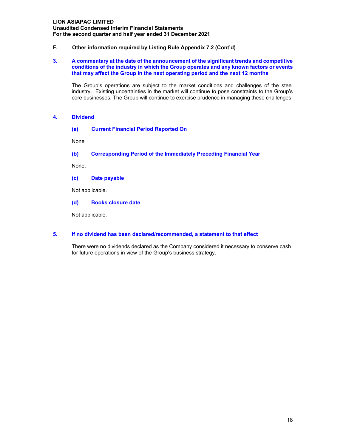**Unaudited Condensed Interim Financial Statements For the second quarter and half year ended 31 December 2021**

## **F. Other information required by Listing Rule Appendix 7.2 (Cont'd)**

#### **3. A commentary at the date of the announcement of the significant trends and competitive conditions of the industry in which the Group operates and any known factors or events that may affect the Group in the next operating period and the next 12 months**

The Group's operations are subject to the market conditions and challenges of the steel industry. Existing uncertainties in the market will continue to pose constraints to the Group's core businesses. The Group will continue to exercise prudence in managing these challenges.

#### **4. Dividend**

#### **(a) Current Financial Period Reported On**

None

#### **(b) Corresponding Period of the Immediately Preceding Financial Year**

None.

#### **(c) Date payable**

Not applicable.

#### **(d) Books closure date**

Not applicable.

#### **5. If no dividend has been declared/recommended, a statement to that effect**

There were no dividends declared as the Company considered it necessary to conserve cash for future operations in view of the Group's business strategy.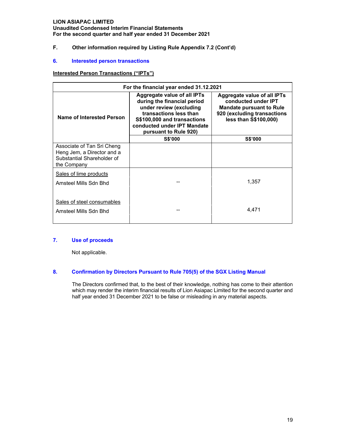**Unaudited Condensed Interim Financial Statements For the second quarter and half year ended 31 December 2021**

## **F. Other information required by Listing Rule Appendix 7.2 (Cont'd)**

## **6. Interested person transactions**

## **Interested Person Transactions ("IPTs")**

| For the financial year ended 31.12.2021                                                               |                                                                                                                                                                                                               |                                                                                                                                               |  |  |
|-------------------------------------------------------------------------------------------------------|---------------------------------------------------------------------------------------------------------------------------------------------------------------------------------------------------------------|-----------------------------------------------------------------------------------------------------------------------------------------------|--|--|
| Name of Interested Person                                                                             | <b>Aggregate value of all IPTs</b><br>during the financial period<br>under review (excluding<br>transactions less than<br>S\$100,000 and transactions<br>conducted under IPT Mandate<br>pursuant to Rule 920) | Aggregate value of all IPTs<br>conducted under IPT<br><b>Mandate pursuant to Rule</b><br>920 (excluding transactions<br>less than S\$100,000) |  |  |
|                                                                                                       | <b>S\$'000</b>                                                                                                                                                                                                | <b>S\$'000</b>                                                                                                                                |  |  |
| Associate of Tan Sri Cheng<br>Heng Jem, a Director and a<br>Substantial Shareholder of<br>the Company |                                                                                                                                                                                                               |                                                                                                                                               |  |  |
| Sales of lime products<br>Amsteel Mills Sdn Bhd                                                       |                                                                                                                                                                                                               | 1,357                                                                                                                                         |  |  |
| Sales of steel consumables<br>Amsteel Mills Sdn Bhd                                                   |                                                                                                                                                                                                               | 4,471                                                                                                                                         |  |  |

## **7. Use of proceeds**

Not applicable.

## **8. Confirmation by Directors Pursuant to Rule 705(5) of the SGX Listing Manual**

 The Directors confirmed that, to the best of their knowledge, nothing has come to their attention which may render the interim financial results of Lion Asiapac Limited for the second quarter and half year ended 31 December 2021 to be false or misleading in any material aspects.